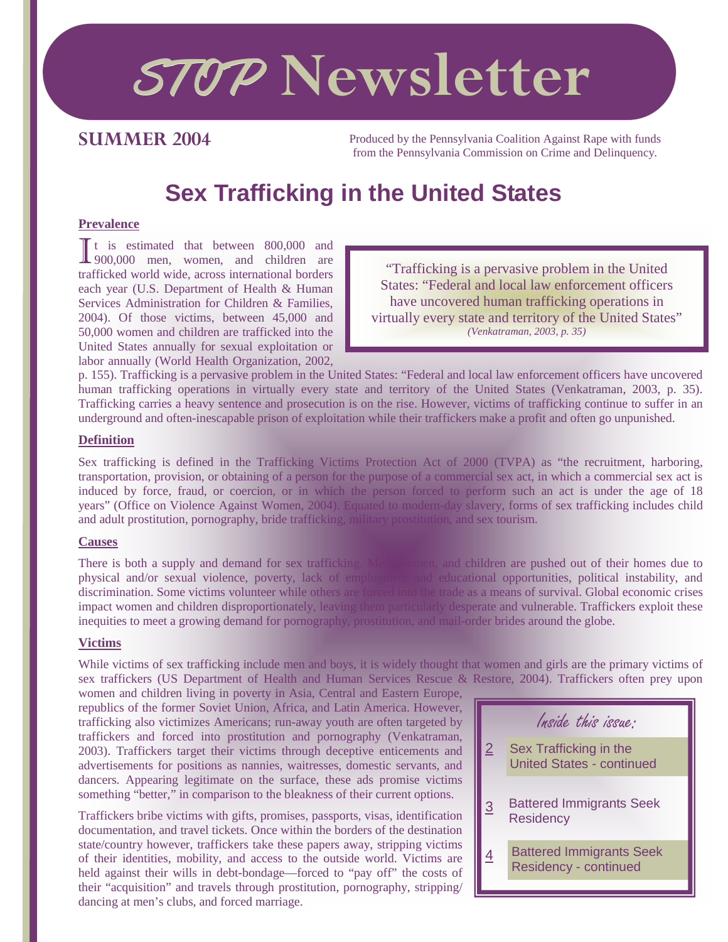# STOP **Newsletter**

### **SUMMER 2004**

Produced by the Pennsylvania Coalition Against Rape with funds from the Pennsylvania Commission on Crime and Delinquency.

# **Sex Trafficking in the United States**

#### **Prevalence**

 $\prod$  t is estimated that between 800,000 and 900,000 men, women, and children are trafficked world wide, across international borders each year (U.S. Department of Health & Human Services Administration for Children & Families, 2004). Of those victims, between 45,000 and 50,000 women and children are trafficked into the United States annually for sexual exploitation or labor annually (World Health Organization, 2002,

"Trafficking is a pervasive problem in the United States: "Federal and local law enforcement officers have uncovered human trafficking operations in virtually every state and territory of the United States" *(Venkatraman, 2003, p. 35)*

p. 155). Trafficking is a pervasive problem in the United States: "Federal and local law enforcement officers have uncovered human trafficking operations in virtually every state and territory of the United States (Venkatraman, 2003, p. 35). Trafficking carries a heavy sentence and prosecution is on the rise. However, victims of trafficking continue to suffer in an underground and often-inescapable prison of exploitation while their traffickers make a profit and often go unpunished.

#### **Definition**

Sex trafficking is defined in the Trafficking Victims Protection Act of 2000 (TVPA) as "the recruitment, harboring, transportation, provision, or obtaining of a person for the purpose of a commercial sex act, in which a commercial sex act is induced by force, fraud, or coercion, or in which the person forced to perform such an act is under the age of 18 years" (Office on Violence Against Women, 2004). Equated to modern-day slavery, forms of sex trafficking includes child and adult prostitution, pornography, bride trafficking, military prostitution, and sex tourism.

#### **Causes**

There is both a supply and demand for sex trafficking. Men, women, and children are pushed out of their homes due to physical and/or sexual violence, poverty, lack of employment and educational opportunities, political instability, and discrimination. Some victims volunteer while others are forced into the trade as a means of survival. Global economic crises impact women and children disproportionately, leaving them particularly desperate and vulnerable. Traffickers exploit these inequities to meet a growing demand for pornography, prostitution, and mail-order brides around the globe.

#### **Victims**

While victims of sex trafficking include men and boys, it is widely thought that women and girls are the primary victims of sex traffickers (US Department of Health and Human Services Rescue & Restore, 2004). Traffickers often prey upon

women and children living in poverty in Asia, Central and Eastern Europe, republics of the former Soviet Union, Africa, and Latin America. However, trafficking also victimizes Americans; run-away youth are often targeted by traffickers and forced into prostitution and pornography (Venkatraman, 2003). Traffickers target their victims through deceptive enticements and advertisements for positions as nannies, waitresses, domestic servants, and dancers. Appearing legitimate on the surface, these ads promise victims something "better," in comparison to the bleakness of their current options.

Traffickers bribe victims with gifts, promises, passports, visas, identification documentation, and travel tickets. Once within the borders of the destination state/country however, traffickers take these papers away, stripping victims of their identities, mobility, and access to the outside world. Victims are held against their wills in debt-bondage—forced to "pay off" the costs of their "acquisition" and travels through prostitution, pornography, stripping/ dancing at men's clubs, and forced marriage.

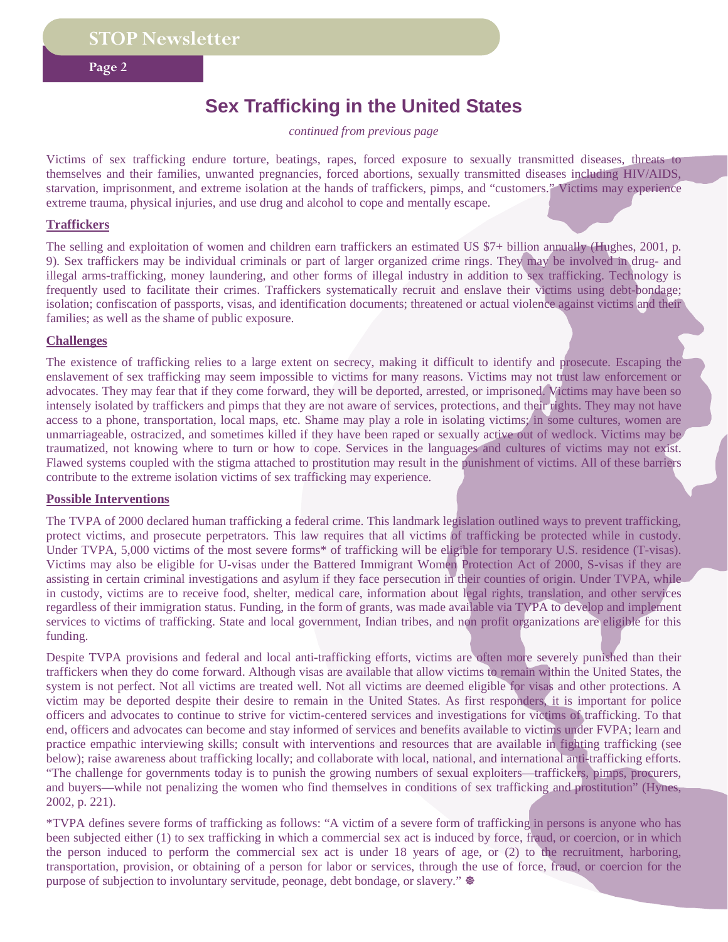**Page 2** 

## **Sex Trafficking in the United States**

*continued from previous page* 

Victims of sex trafficking endure torture, beatings, rapes, forced exposure to sexually transmitted diseases, threats to themselves and their families, unwanted pregnancies, forced abortions, sexually transmitted diseases including HIV/AIDS, starvation, imprisonment, and extreme isolation at the hands of traffickers, pimps, and "customers." Victims may experience extreme trauma, physical injuries, and use drug and alcohol to cope and mentally escape.

#### **Traffickers**

The selling and exploitation of women and children earn traffickers an estimated US \$7+ billion annually (Hughes, 2001, p. 9). Sex traffickers may be individual criminals or part of larger organized crime rings. They may be involved in drug- and illegal arms-trafficking, money laundering, and other forms of illegal industry in addition to sex trafficking. Technology is frequently used to facilitate their crimes. Traffickers systematically recruit and enslave their victims using debt-bondage; isolation; confiscation of passports, visas, and identification documents; threatened or actual violence against victims and their families; as well as the shame of public exposure.

#### **Challenges**

The existence of trafficking relies to a large extent on secrecy, making it difficult to identify and prosecute. Escaping the enslavement of sex trafficking may seem impossible to victims for many reasons. Victims may not trust law enforcement or advocates. They may fear that if they come forward, they will be deported, arrested, or imprisoned. Victims may have been so intensely isolated by traffickers and pimps that they are not aware of services, protections, and their rights. They may not have access to a phone, transportation, local maps, etc. Shame may play a role in isolating victims; in some cultures, women are unmarriageable, ostracized, and sometimes killed if they have been raped or sexually active out of wedlock. Victims may be traumatized, not knowing where to turn or how to cope. Services in the languages and cultures of victims may not exist. Flawed systems coupled with the stigma attached to prostitution may result in the punishment of victims. All of these barriers contribute to the extreme isolation victims of sex trafficking may experience.

#### **Possible Interventions**

The TVPA of 2000 declared human trafficking a federal crime. This landmark legislation outlined ways to prevent trafficking, protect victims, and prosecute perpetrators. This law requires that all victims of trafficking be protected while in custody. Under TVPA, 5,000 victims of the most severe forms\* of trafficking will be eligible for temporary U.S. residence (T-visas). Victims may also be eligible for U-visas under the Battered Immigrant Women Protection Act of 2000, S-visas if they are assisting in certain criminal investigations and asylum if they face persecution in their counties of origin. Under TVPA, while in custody, victims are to receive food, shelter, medical care, information about legal rights, translation, and other services regardless of their immigration status. Funding, in the form of grants, was made available via TVPA to develop and implement services to victims of trafficking. State and local government, Indian tribes, and non profit organizations are eligible for this funding.

Despite TVPA provisions and federal and local anti-trafficking efforts, victims are often more severely punished than their traffickers when they do come forward. Although visas are available that allow victims to remain within the United States, the system is not perfect. Not all victims are treated well. Not all victims are deemed eligible for visas and other protections. A victim may be deported despite their desire to remain in the United States. As first responders, it is important for police officers and advocates to continue to strive for victim-centered services and investigations for victims of trafficking. To that end, officers and advocates can become and stay informed of services and benefits available to victims under FVPA; learn and practice empathic interviewing skills; consult with interventions and resources that are available in fighting trafficking (see below); raise awareness about trafficking locally; and collaborate with local, national, and international anti-trafficking efforts. "The challenge for governments today is to punish the growing numbers of sexual exploiters—traffickers, pimps, procurers, and buyers—while not penalizing the women who find themselves in conditions of sex trafficking and prostitution" (Hynes, 2002, p. 221).

\*TVPA defines severe forms of trafficking as follows: "A victim of a severe form of trafficking in persons is anyone who has been subjected either (1) to sex trafficking in which a commercial sex act is induced by force, fraud, or coercion, or in which the person induced to perform the commercial sex act is under 18 years of age, or (2) to the recruitment, harboring, transportation, provision, or obtaining of a person for labor or services, through the use of force, fraud, or coercion for the purpose of subjection to involuntary servitude, peonage, debt bondage, or slavery."  $\otimes$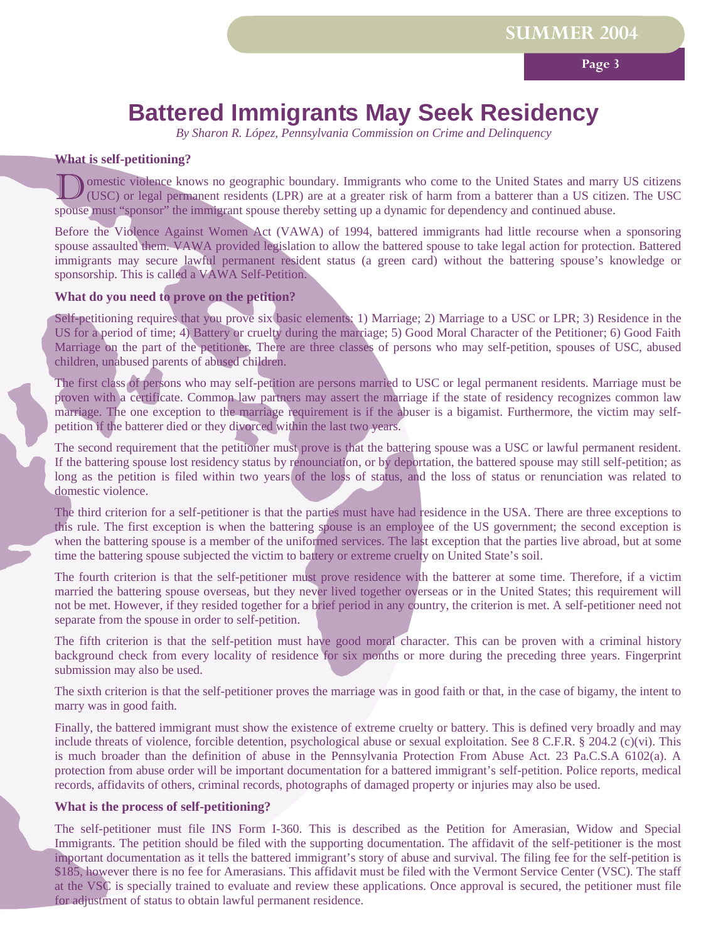**Page 3**

## **Battered Immigrants May Seek Residency**

*By Sharon R. López, Pennsylvania Commission on Crime and Delinquency*

#### **What is self-petitioning?**

Domestic violence knows no geographic boundary. Immigrants who come to the United States and marry US citizens (USC) or legal permanent residents (LPR) are at a greater risk of harm from a batterer than a US citizen. The U spouse must "sponsor" the immigrant spouse thereby setting up a dynamic for dependency and continued abuse.

Before the Violence Against Women Act (VAWA) of 1994, battered immigrants had little recourse when a sponsoring spouse assaulted them. VAWA provided legislation to allow the battered spouse to take legal action for protection. Battered immigrants may secure lawful permanent resident status (a green card) without the battering spouse's knowledge or sponsorship. This is called a VAWA Self-Petition.

#### **What do you need to prove on the petition?**

Self-petitioning requires that you prove six basic elements: 1) Marriage; 2) Marriage to a USC or LPR; 3) Residence in the US for a period of time; 4) Battery or cruelty during the marriage; 5) Good Moral Character of the Petitioner; 6) Good Faith Marriage on the part of the petitioner. There are three classes of persons who may self-petition, spouses of USC, abused children, unabused parents of abused children.

The first class of persons who may self-petition are persons married to USC or legal permanent residents. Marriage must be proven with a certificate. Common law partners may assert the marriage if the state of residency recognizes common law marriage. The one exception to the marriage requirement is if the abuser is a bigamist. Furthermore, the victim may selfpetition if the batterer died or they divorced within the last two years.

The second requirement that the petitioner must prove is that the battering spouse was a USC or lawful permanent resident. If the battering spouse lost residency status by renounciation, or by deportation, the battered spouse may still self-petition; as long as the petition is filed within two years of the loss of status, and the loss of status or renunciation was related to domestic violence.

The third criterion for a self-petitioner is that the parties must have had residence in the USA. There are three exceptions to this rule. The first exception is when the battering spouse is an employee of the US government; the second exception is when the battering spouse is a member of the uniformed services. The last exception that the parties live abroad, but at some time the battering spouse subjected the victim to battery or extreme cruelty on United State's soil.

The fourth criterion is that the self-petitioner must prove residence with the batterer at some time. Therefore, if a victim married the battering spouse overseas, but they never lived together overseas or in the United States; this requirement will not be met. However, if they resided together for a brief period in any country, the criterion is met. A self-petitioner need not separate from the spouse in order to self-petition.

The fifth criterion is that the self-petition must have good moral character. This can be proven with a criminal history background check from every locality of residence for six months or more during the preceding three years. Fingerprint submission may also be used.

The sixth criterion is that the self-petitioner proves the marriage was in good faith or that, in the case of bigamy, the intent to marry was in good faith.

Finally, the battered immigrant must show the existence of extreme cruelty or battery. This is defined very broadly and may include threats of violence, forcible detention, psychological abuse or sexual exploitation. See 8 C.F.R. § 204.2 (c)(vi). This is much broader than the definition of abuse in the Pennsylvania Protection From Abuse Act. 23 Pa.C.S.A 6102(a). A protection from abuse order will be important documentation for a battered immigrant's self-petition. Police reports, medical records, affidavits of others, criminal records, photographs of damaged property or injuries may also be used.

#### **What is the process of self-petitioning?**

The self-petitioner must file INS Form I-360. This is described as the Petition for Amerasian, Widow and Special Immigrants. The petition should be filed with the supporting documentation. The affidavit of the self-petitioner is the most important documentation as it tells the battered immigrant's story of abuse and survival. The filing fee for the self-petition is \$185, however there is no fee for Amerasians. This affidavit must be filed with the Vermont Service Center (VSC). The staff at the VSC is specially trained to evaluate and review these applications. Once approval is secured, the petitioner must file for adjustment of status to obtain lawful permanent residence.